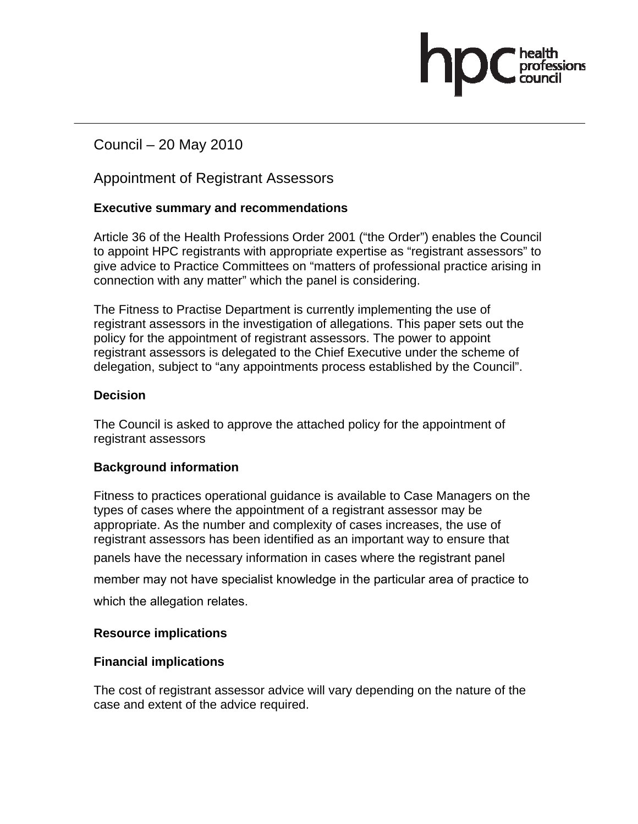Council – 20 May 2010

Appointment of Registrant Assessors

### **Executive summary and recommendations**

Article 36 of the Health Professions Order 2001 ("the Order") enables the Council to appoint HPC registrants with appropriate expertise as "registrant assessors" to give advice to Practice Committees on "matters of professional practice arising in connection with any matter" which the panel is considering.

The Fitness to Practise Department is currently implementing the use of registrant assessors in the investigation of allegations. This paper sets out the policy for the appointment of registrant assessors. The power to appoint registrant assessors is delegated to the Chief Executive under the scheme of delegation, subject to "any appointments process established by the Council".

#### **Decision**

The Council is asked to approve the attached policy for the appointment of registrant assessors

#### **Background information**

Fitness to practices operational guidance is available to Case Managers on the types of cases where the appointment of a registrant assessor may be appropriate. As the number and complexity of cases increases, the use of registrant assessors has been identified as an important way to ensure that panels have the necessary information in cases where the registrant panel member may not have specialist knowledge in the particular area of practice to which the allegation relates.

#### **Resource implications**

#### **Financial implications**

The cost of registrant assessor advice will vary depending on the nature of the case and extent of the advice required.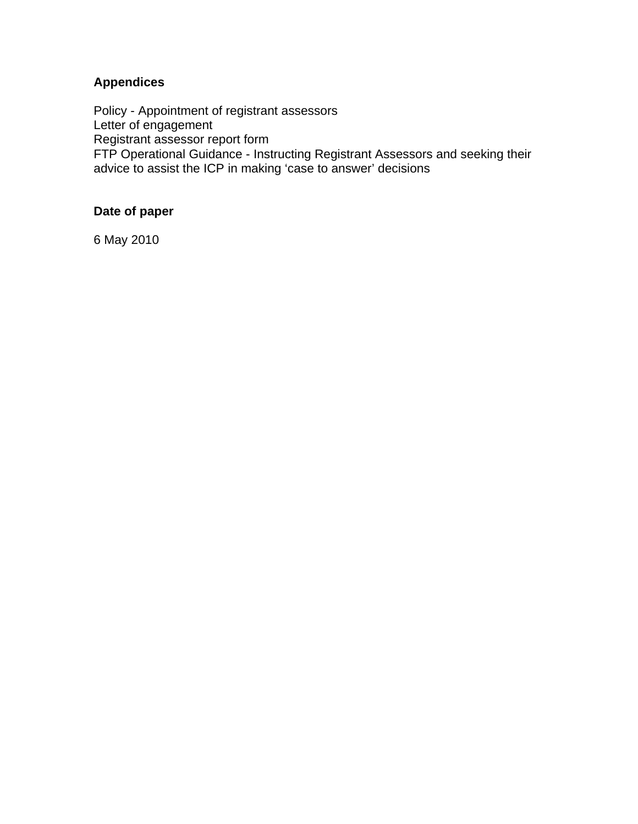# **Appendices**

Policy - Appointment of registrant assessors Letter of engagement Registrant assessor report form FTP Operational Guidance - Instructing Registrant Assessors and seeking their advice to assist the ICP in making 'case to answer' decisions

# **Date of paper**

6 May 2010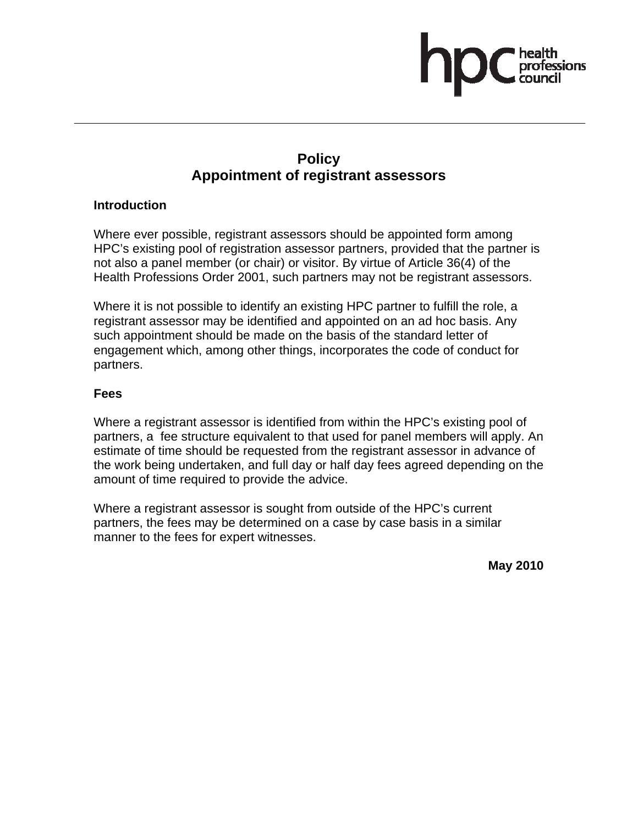# **Policy Appointment of registrant assessors**

#### **Introduction**

Where ever possible, registrant assessors should be appointed form among HPC's existing pool of registration assessor partners, provided that the partner is not also a panel member (or chair) or visitor. By virtue of Article 36(4) of the Health Professions Order 2001, such partners may not be registrant assessors.

Where it is not possible to identify an existing HPC partner to fulfill the role, a registrant assessor may be identified and appointed on an ad hoc basis. Any such appointment should be made on the basis of the standard letter of engagement which, among other things, incorporates the code of conduct for partners.

#### **Fees**

Where a registrant assessor is identified from within the HPC's existing pool of partners, a fee structure equivalent to that used for panel members will apply. An estimate of time should be requested from the registrant assessor in advance of the work being undertaken, and full day or half day fees agreed depending on the amount of time required to provide the advice.

Where a registrant assessor is sought from outside of the HPC's current partners, the fees may be determined on a case by case basis in a similar manner to the fees for expert witnesses.

**May 2010**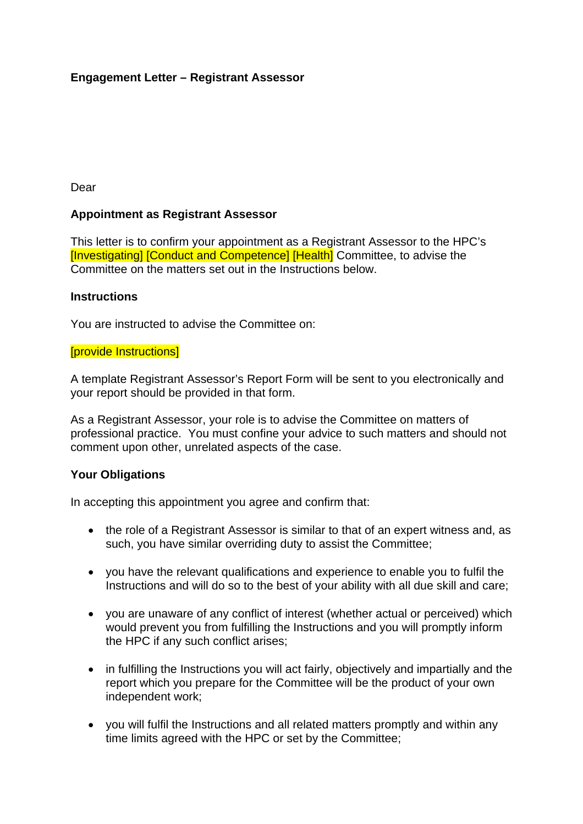# **Engagement Letter – Registrant Assessor**

Dear

#### **Appointment as Registrant Assessor**

This letter is to confirm your appointment as a Registrant Assessor to the HPC's [Investigating] [Conduct and Competence] [Health] Committee, to advise the Committee on the matters set out in the Instructions below.

#### **Instructions**

You are instructed to advise the Committee on:

#### [provide Instructions]

A template Registrant Assessor's Report Form will be sent to you electronically and your report should be provided in that form.

As a Registrant Assessor, your role is to advise the Committee on matters of professional practice. You must confine your advice to such matters and should not comment upon other, unrelated aspects of the case.

#### **Your Obligations**

In accepting this appointment you agree and confirm that:

- the role of a Registrant Assessor is similar to that of an expert witness and, as such, you have similar overriding duty to assist the Committee;
- you have the relevant qualifications and experience to enable you to fulfil the Instructions and will do so to the best of your ability with all due skill and care;
- you are unaware of any conflict of interest (whether actual or perceived) which would prevent you from fulfilling the Instructions and you will promptly inform the HPC if any such conflict arises;
- in fulfilling the Instructions you will act fairly, objectively and impartially and the report which you prepare for the Committee will be the product of your own independent work;
- you will fulfil the Instructions and all related matters promptly and within any time limits agreed with the HPC or set by the Committee;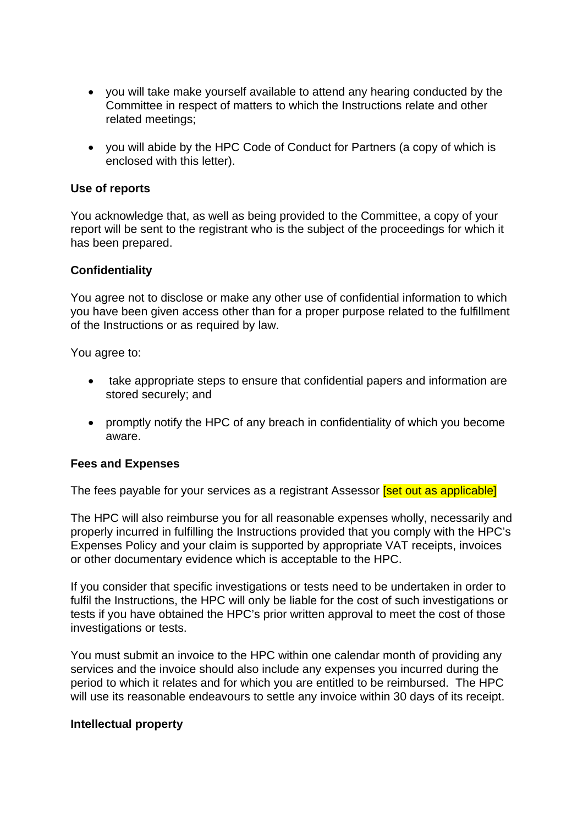- you will take make yourself available to attend any hearing conducted by the Committee in respect of matters to which the Instructions relate and other related meetings;
- you will abide by the HPC Code of Conduct for Partners (a copy of which is enclosed with this letter).

#### **Use of reports**

You acknowledge that, as well as being provided to the Committee, a copy of your report will be sent to the registrant who is the subject of the proceedings for which it has been prepared.

#### **Confidentiality**

You agree not to disclose or make any other use of confidential information to which you have been given access other than for a proper purpose related to the fulfillment of the Instructions or as required by law.

You agree to:

- take appropriate steps to ensure that confidential papers and information are stored securely; and
- promptly notify the HPC of any breach in confidentiality of which you become aware.

#### **Fees and Expenses**

The fees payable for your services as a registrant Assessor **[set out as applicable]** 

The HPC will also reimburse you for all reasonable expenses wholly, necessarily and properly incurred in fulfilling the Instructions provided that you comply with the HPC's Expenses Policy and your claim is supported by appropriate VAT receipts, invoices or other documentary evidence which is acceptable to the HPC.

If you consider that specific investigations or tests need to be undertaken in order to fulfil the Instructions, the HPC will only be liable for the cost of such investigations or tests if you have obtained the HPC's prior written approval to meet the cost of those investigations or tests.

You must submit an invoice to the HPC within one calendar month of providing any services and the invoice should also include any expenses you incurred during the period to which it relates and for which you are entitled to be reimbursed. The HPC will use its reasonable endeavours to settle any invoice within 30 days of its receipt.

#### **Intellectual property**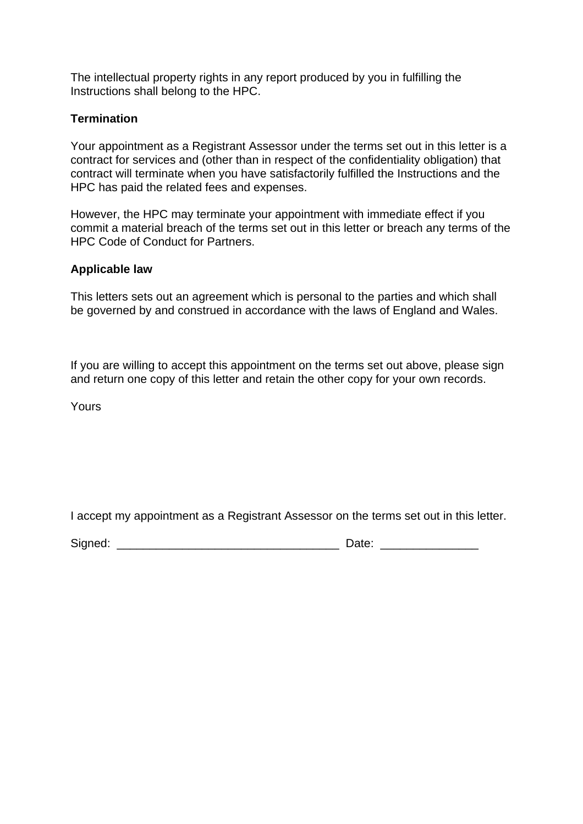The intellectual property rights in any report produced by you in fulfilling the Instructions shall belong to the HPC.

### **Termination**

Your appointment as a Registrant Assessor under the terms set out in this letter is a contract for services and (other than in respect of the confidentiality obligation) that contract will terminate when you have satisfactorily fulfilled the Instructions and the HPC has paid the related fees and expenses.

However, the HPC may terminate your appointment with immediate effect if you commit a material breach of the terms set out in this letter or breach any terms of the HPC Code of Conduct for Partners.

#### **Applicable law**

This letters sets out an agreement which is personal to the parties and which shall be governed by and construed in accordance with the laws of England and Wales.

If you are willing to accept this appointment on the terms set out above, please sign and return one copy of this letter and retain the other copy for your own records.

Yours

I accept my appointment as a Registrant Assessor on the terms set out in this letter.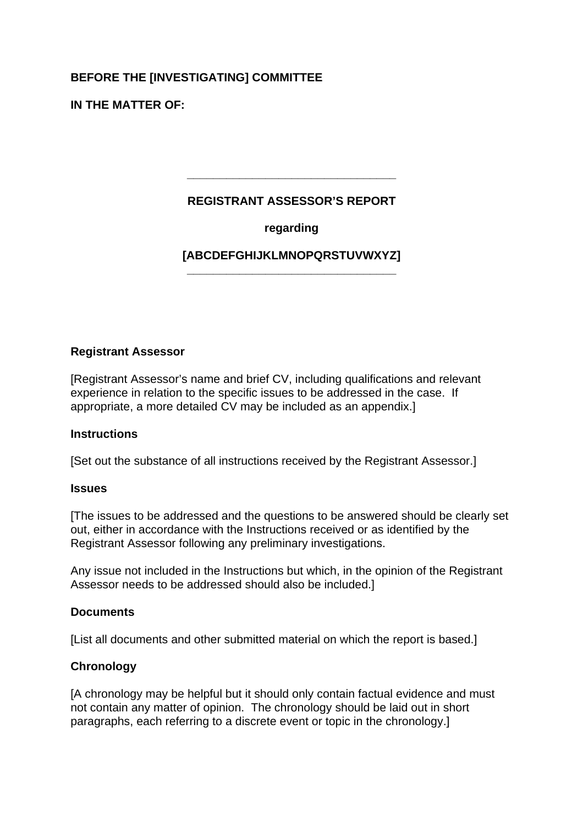# **BEFORE THE [INVESTIGATING] COMMITTEE**

**IN THE MATTER OF:**

# **REGISTRANT ASSESSOR'S REPORT**

**\_\_\_\_\_\_\_\_\_\_\_\_\_\_\_\_\_\_\_\_\_\_\_\_\_\_\_\_\_\_\_\_** 

# **regarding**

#### **[ABCDEFGHIJKLMNOPQRSTUVWXYZ] \_\_\_\_\_\_\_\_\_\_\_\_\_\_\_\_\_\_\_\_\_\_\_\_\_\_\_\_\_\_\_\_**

### **Registrant Assessor**

[Registrant Assessor's name and brief CV, including qualifications and relevant experience in relation to the specific issues to be addressed in the case. If appropriate, a more detailed CV may be included as an appendix.]

#### **Instructions**

[Set out the substance of all instructions received by the Registrant Assessor.]

#### **Issues**

[The issues to be addressed and the questions to be answered should be clearly set out, either in accordance with the Instructions received or as identified by the Registrant Assessor following any preliminary investigations.

Any issue not included in the Instructions but which, in the opinion of the Registrant Assessor needs to be addressed should also be included.]

#### **Documents**

[List all documents and other submitted material on which the report is based.]

#### **Chronology**

[A chronology may be helpful but it should only contain factual evidence and must not contain any matter of opinion. The chronology should be laid out in short paragraphs, each referring to a discrete event or topic in the chronology.]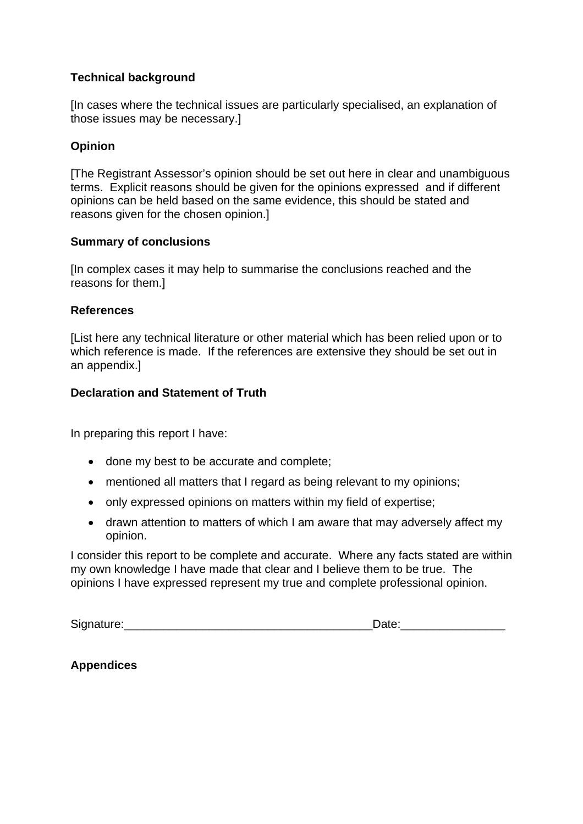# **Technical background**

[In cases where the technical issues are particularly specialised, an explanation of those issues may be necessary.]

#### **Opinion**

[The Registrant Assessor's opinion should be set out here in clear and unambiguous terms. Explicit reasons should be given for the opinions expressed and if different opinions can be held based on the same evidence, this should be stated and reasons given for the chosen opinion.]

#### **Summary of conclusions**

[In complex cases it may help to summarise the conclusions reached and the reasons for them.]

#### **References**

[List here any technical literature or other material which has been relied upon or to which reference is made. If the references are extensive they should be set out in an appendix.]

#### **Declaration and Statement of Truth**

In preparing this report I have:

- done my best to be accurate and complete;
- mentioned all matters that I regard as being relevant to my opinions;
- only expressed opinions on matters within my field of expertise;
- drawn attention to matters of which I am aware that may adversely affect my opinion.

I consider this report to be complete and accurate. Where any facts stated are within my own knowledge I have made that clear and I believe them to be true. The opinions I have expressed represent my true and complete professional opinion.

| Signature: |  |
|------------|--|
|            |  |

**Appendices**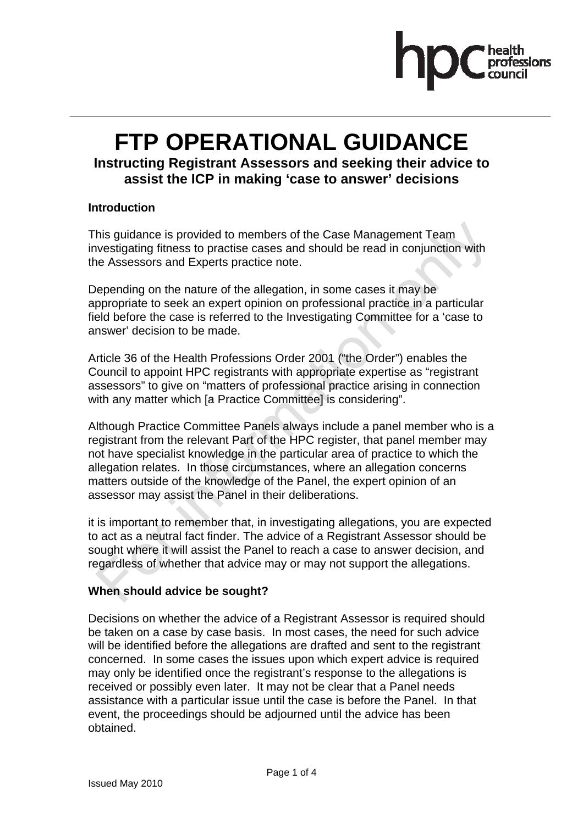

# **FTP OPERATIONAL GUIDANCE**

# **Instructing Registrant Assessors and seeking their advice to assist the ICP in making 'case to answer' decisions**

#### **Introduction**

This guidance is provided to members of the Case Management Team investigating fitness to practise cases and should be read in conjunction with the Assessors and Experts practice note.

Depending on the nature of the allegation, in some cases it may be appropriate to seek an expert opinion on professional practice in a particular field before the case is referred to the Investigating Committee for a 'case to answer' decision to be made.

Article 36 of the Health Professions Order 2001 ("the Order") enables the Council to appoint HPC registrants with appropriate expertise as "registrant assessors" to give on "matters of professional practice arising in connection with any matter which [a Practice Committee] is considering".

Although Practice Committee Panels always include a panel member who is a registrant from the relevant Part of the HPC register, that panel member may not have specialist knowledge in the particular area of practice to which the allegation relates. In those circumstances, where an allegation concerns matters outside of the knowledge of the Panel, the expert opinion of an assessor may assist the Panel in their deliberations.

it is important to remember that, in investigating allegations, you are expected to act as a neutral fact finder. The advice of a Registrant Assessor should be sought where it will assist the Panel to reach a case to answer decision, and regardless of whether that advice may or may not support the allegations.

#### **When should advice be sought?**

Decisions on whether the advice of a Registrant Assessor is required should be taken on a case by case basis. In most cases, the need for such advice will be identified before the allegations are drafted and sent to the registrant concerned. In some cases the issues upon which expert advice is required may only be identified once the registrant's response to the allegations is received or possibly even later. It may not be clear that a Panel needs assistance with a particular issue until the case is before the Panel. In that event, the proceedings should be adjourned until the advice has been obtained.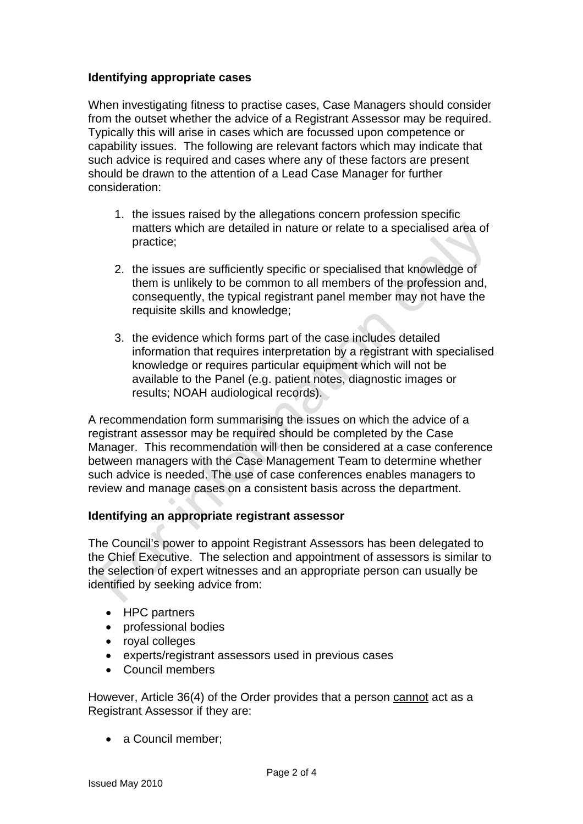### **Identifying appropriate cases**

When investigating fitness to practise cases, Case Managers should consider from the outset whether the advice of a Registrant Assessor may be required. Typically this will arise in cases which are focussed upon competence or capability issues. The following are relevant factors which may indicate that such advice is required and cases where any of these factors are present should be drawn to the attention of a Lead Case Manager for further consideration:

- 1. the issues raised by the allegations concern profession specific matters which are detailed in nature or relate to a specialised area of practice;
- 2. the issues are sufficiently specific or specialised that knowledge of them is unlikely to be common to all members of the profession and, consequently, the typical registrant panel member may not have the requisite skills and knowledge;
- 3. the evidence which forms part of the case includes detailed information that requires interpretation by a registrant with specialised knowledge or requires particular equipment which will not be available to the Panel (e.g. patient notes, diagnostic images or results; NOAH audiological records).

A recommendation form summarising the issues on which the advice of a registrant assessor may be required should be completed by the Case Manager. This recommendation will then be considered at a case conference between managers with the Case Management Team to determine whether such advice is needed. The use of case conferences enables managers to review and manage cases on a consistent basis across the department.

#### **Identifying an appropriate registrant assessor**

The Council's power to appoint Registrant Assessors has been delegated to the Chief Executive. The selection and appointment of assessors is similar to the selection of expert witnesses and an appropriate person can usually be identified by seeking advice from:

- HPC partners
- professional bodies
- royal colleges
- experts/registrant assessors used in previous cases
- Council members

However, Article 36(4) of the Order provides that a person cannot act as a Registrant Assessor if they are:

• a Council member: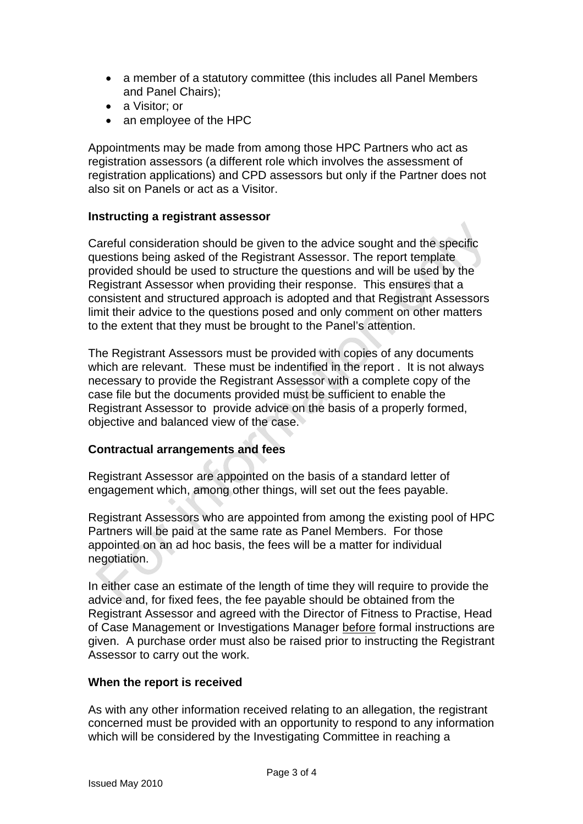- a member of a statutory committee (this includes all Panel Members and Panel Chairs);
- a Visitor; or
- an employee of the HPC

Appointments may be made from among those HPC Partners who act as registration assessors (a different role which involves the assessment of registration applications) and CPD assessors but only if the Partner does not also sit on Panels or act as a Visitor.

#### **Instructing a registrant assessor**

Careful consideration should be given to the advice sought and the specific questions being asked of the Registrant Assessor. The report template provided should be used to structure the questions and will be used by the Registrant Assessor when providing their response. This ensures that a consistent and structured approach is adopted and that Registrant Assessors limit their advice to the questions posed and only comment on other matters to the extent that they must be brought to the Panel's attention.

The Registrant Assessors must be provided with copies of any documents which are relevant. These must be indentified in the report . It is not always necessary to provide the Registrant Assessor with a complete copy of the case file but the documents provided must be sufficient to enable the Registrant Assessor to provide advice on the basis of a properly formed, objective and balanced view of the case.

#### **Contractual arrangements and fees**

Registrant Assessor are appointed on the basis of a standard letter of engagement which, among other things, will set out the fees payable.

Registrant Assessors who are appointed from among the existing pool of HPC Partners will be paid at the same rate as Panel Members. For those appointed on an ad hoc basis, the fees will be a matter for individual negotiation.

In either case an estimate of the length of time they will require to provide the advice and, for fixed fees, the fee payable should be obtained from the Registrant Assessor and agreed with the Director of Fitness to Practise, Head of Case Management or Investigations Manager before formal instructions are given. A purchase order must also be raised prior to instructing the Registrant Assessor to carry out the work.

#### **When the report is received**

As with any other information received relating to an allegation, the registrant concerned must be provided with an opportunity to respond to any information which will be considered by the Investigating Committee in reaching a